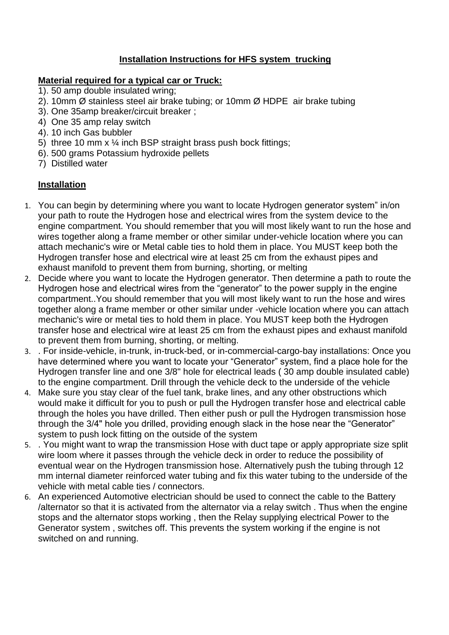## **Installation Instructions for HFS system trucking**

## **Material required for a typical car or Truck:**

- 1). 50 amp double insulated wring;
- 2). 10mm Ø stainless steel air brake tubing; or 10mm Ø HDPE air brake tubing
- 3). One 35amp breaker/circuit breaker ;
- 4) One 35 amp relay switch
- 4). 10 inch Gas bubbler
- 5) three 10 mm  $x \frac{1}{4}$  inch BSP straight brass push bock fittings;
- 6). 500 grams Potassium hydroxide pellets
- 7) Distilled water

## **Installation**

- 1. You can begin by determining where you want to locate Hydrogen generator system" in/on your path to route the Hydrogen hose and electrical wires from the system device to the engine compartment. You should remember that you will most likely want to run the hose and wires together along a frame member or other similar under-vehicle location where you can attach mechanic's wire or Metal cable ties to hold them in place. You MUST keep both the Hydrogen transfer hose and electrical wire at least 25 cm from the exhaust pipes and exhaust manifold to prevent them from burning, shorting, or melting
- 2. Decide where you want to locate the Hydrogen generator. Then determine a path to route the Hydrogen hose and electrical wires from the "generator" to the power supply in the engine compartment..You should remember that you will most likely want to run the hose and wires together along a frame member or other similar under -vehicle location where you can attach mechanic's wire or metal ties to hold them in place. You MUST keep both the Hydrogen transfer hose and electrical wire at least 25 cm from the exhaust pipes and exhaust manifold to prevent them from burning, shorting, or melting.
- 3. . For inside-vehicle, in-trunk, in-truck-bed, or in-commercial-cargo-bay installations: Once you have determined where you want to locate your "Generator" system, find a place hole for the Hydrogen transfer line and one 3/8" hole for electrical leads ( 30 amp double insulated cable) to the engine compartment. Drill through the vehicle deck to the underside of the vehicle
- 4. Make sure you stay clear of the fuel tank, brake lines, and any other obstructions which would make it difficult for you to push or pull the Hydrogen transfer hose and electrical cable through the holes you have drilled. Then either push or pull the Hydrogen transmission hose through the 3/4" hole you drilled, providing enough slack in the hose near the "Generator" system to push lock fitting on the outside of the system
- 5. . You might want to wrap the transmission Hose with duct tape or apply appropriate size split wire loom where it passes through the vehicle deck in order to reduce the possibility of eventual wear on the Hydrogen transmission hose. Alternatively push the tubing through 12 mm internal diameter reinforced water tubing and fix this water tubing to the underside of the vehicle with metal cable ties / connectors.
- 6. An experienced Automotive electrician should be used to connect the cable to the Battery /alternator so that it is activated from the alternator via a relay switch . Thus when the engine stops and the alternator stops working , then the Relay supplying electrical Power to the Generator system , switches off. This prevents the system working if the engine is not switched on and running.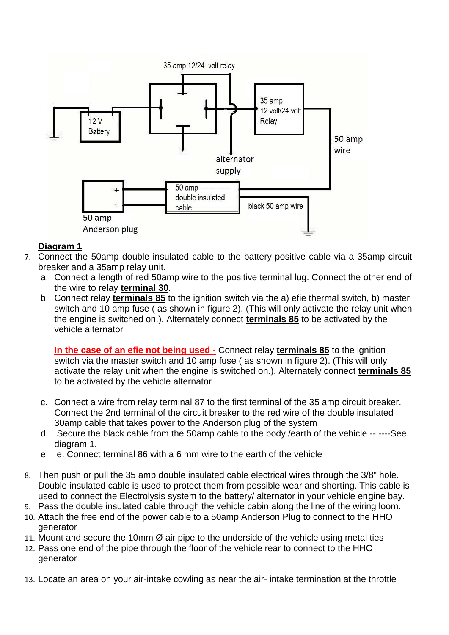

## **Diagram 1**

- 7. Connect the 50amp double insulated cable to the battery positive cable via a 35amp circuit breaker and a 35amp relay unit.
	- a. Connect a length of red 50amp wire to the positive terminal lug. Connect the other end of the wire to relay **terminal 30**.
	- b. Connect relay **terminals 85** to the ignition switch via the a) efie thermal switch, b) master switch and 10 amp fuse ( as shown in figure 2). (This will only activate the relay unit when the engine is switched on.). Alternately connect **terminals 85** to be activated by the vehicle alternator .

**In the case of an efie not being used -** Connect relay **terminals 85** to the ignition switch via the master switch and 10 amp fuse ( as shown in figure 2). (This will only activate the relay unit when the engine is switched on.). Alternately connect **terminals 85** to be activated by the vehicle alternator

- c. Connect a wire from relay terminal 87 to the first terminal of the 35 amp circuit breaker. Connect the 2nd terminal of the circuit breaker to the red wire of the double insulated 30amp cable that takes power to the Anderson plug of the system
- d. Secure the black cable from the 50amp cable to the body /earth of the vehicle -- ----See diagram 1.
- e. e. Connect terminal 86 with a 6 mm wire to the earth of the vehicle
- 8. Then push or pull the 35 amp double insulated cable electrical wires through the 3/8" hole. Double insulated cable is used to protect them from possible wear and shorting. This cable is used to connect the Electrolysis system to the battery/ alternator in your vehicle engine bay.
- 9. Pass the double insulated cable through the vehicle cabin along the line of the wiring loom.
- 10. Attach the free end of the power cable to a 50amp Anderson Plug to connect to the HHO generator
- 11. Mount and secure the 10mm  $\varnothing$  air pipe to the underside of the vehicle using metal ties
- 12. Pass one end of the pipe through the floor of the vehicle rear to connect to the HHO generator
- 13. Locate an area on your air-intake cowling as near the air- intake termination at the throttle